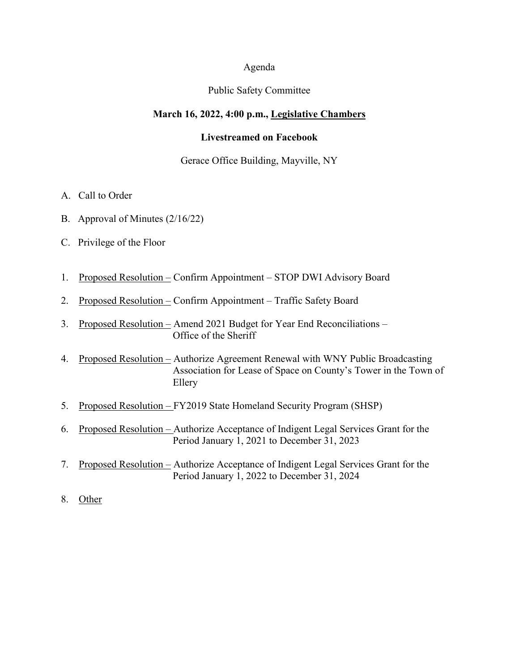### Agenda

#### Public Safety Committee

#### **March 16, 2022, 4:00 p.m., Legislative Chambers**

#### **Livestreamed on Facebook**

### Gerace Office Building, Mayville, NY

- A. Call to Order
- B. Approval of Minutes (2/16/22)
- C. Privilege of the Floor
- 1. Proposed Resolution Confirm Appointment STOP DWI Advisory Board
- 2. Proposed Resolution Confirm Appointment Traffic Safety Board
- 3. Proposed Resolution Amend 2021 Budget for Year End Reconciliations Office of the Sheriff
- 4. Proposed Resolution Authorize Agreement Renewal with WNY Public Broadcasting Association for Lease of Space on County's Tower in the Town of Ellery
- 5. Proposed Resolution FY2019 State Homeland Security Program (SHSP)
- 6. Proposed Resolution Authorize Acceptance of Indigent Legal Services Grant for the Period January 1, 2021 to December 31, 2023
- 7. Proposed Resolution Authorize Acceptance of Indigent Legal Services Grant for the Period January 1, 2022 to December 31, 2024
- 8. Other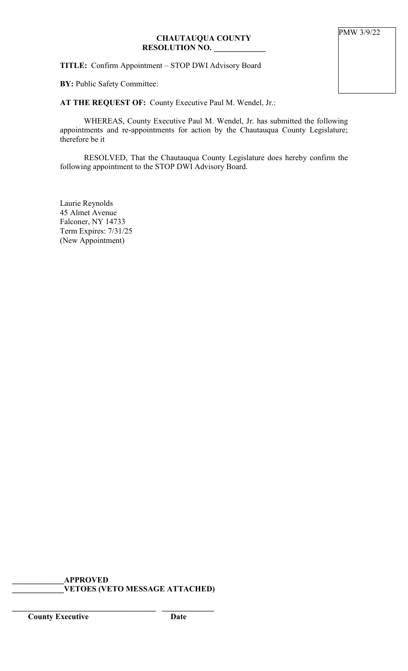# **CHAUTAUQUA COUNTY RESOLUTION NO. \_\_\_\_\_\_\_\_\_\_\_\_\_**

**TITLE:** Confirm Appointment – STOP DWI Advisory Board

**BY:** Public Safety Committee:

# **AT THE REQUEST OF:** County Executive Paul M. Wendel, Jr.:

WHEREAS, County Executive Paul M. Wendel, Jr. has submitted the following appointments and re-appointments for action by the Chautauqua County Legislature; therefore be it

RESOLVED, That the Chautauqua County Legislature does hereby confirm the following appointment to the STOP DWI Advisory Board.

Laurie Reynolds 45 Almet Avenue Falconer, NY 14733 Term Expires: 7/31/25 (New Appointment)

**\_\_\_\_\_\_\_\_\_\_\_\_\_APPROVED \_\_\_\_\_\_\_\_\_\_\_\_\_VETOES (VETO MESSAGE ATTACHED)**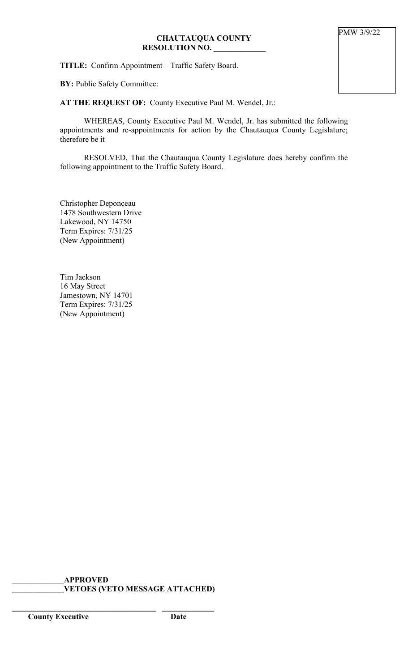## **CHAUTAUQUA COUNTY RESOLUTION NO. \_\_\_\_\_\_\_\_\_\_\_\_\_**

**TITLE:** Confirm Appointment – Traffic Safety Board.

**BY:** Public Safety Committee:

### **AT THE REQUEST OF:** County Executive Paul M. Wendel, Jr.:

WHEREAS, County Executive Paul M. Wendel, Jr. has submitted the following appointments and re-appointments for action by the Chautauqua County Legislature; therefore be it

RESOLVED, That the Chautauqua County Legislature does hereby confirm the following appointment to the Traffic Safety Board.

Christopher Deponceau 1478 Southwestern Drive Lakewood, NY 14750 Term Expires: 7/31/25 (New Appointment)

Tim Jackson 16 May Street Jamestown, NY 14701 Term Expires: 7/31/25 (New Appointment)

**\_\_\_\_\_\_\_\_\_\_\_\_\_APPROVED \_\_\_\_\_\_\_\_\_\_\_\_\_VETOES (VETO MESSAGE ATTACHED)**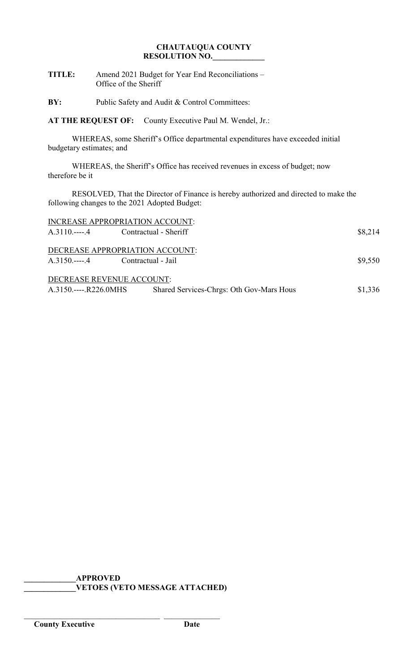# **CHAUTAUQUA COUNTY RESOLUTION NO.\_\_\_\_\_\_\_\_\_\_\_\_\_**

| <b>TITLE:</b> | Amend 2021 Budget for Year End Reconciliations - |
|---------------|--------------------------------------------------|
|               | Office of the Sheriff                            |

**BY:** Public Safety and Audit & Control Committees:

**AT THE REQUEST OF:** County Executive Paul M. Wendel, Jr.:

WHEREAS, some Sheriff's Office departmental expenditures have exceeded initial budgetary estimates; and

WHEREAS, the Sheriff's Office has received revenues in excess of budget; now therefore be it

RESOLVED, That the Director of Finance is hereby authorized and directed to make the following changes to the 2021 Adopted Budget:

| INCREASE APPROPRIATION ACCOUNT:     |                                          |         |
|-------------------------------------|------------------------------------------|---------|
| A.3110.----.4 Contractual - Sheriff |                                          | \$8,214 |
| DECREASE APPROPRIATION ACCOUNT:     |                                          | \$9,550 |
| DECREASE REVENUE ACCOUNT:           |                                          |         |
| A.3150.----.R226.0MHS               | Shared Services-Chrgs: Oth Gov-Mars Hous | \$1,336 |

**\_\_\_\_\_\_\_\_\_\_\_\_\_APPROVED \_\_\_\_\_\_\_\_\_\_\_\_\_VETOES (VETO MESSAGE ATTACHED)**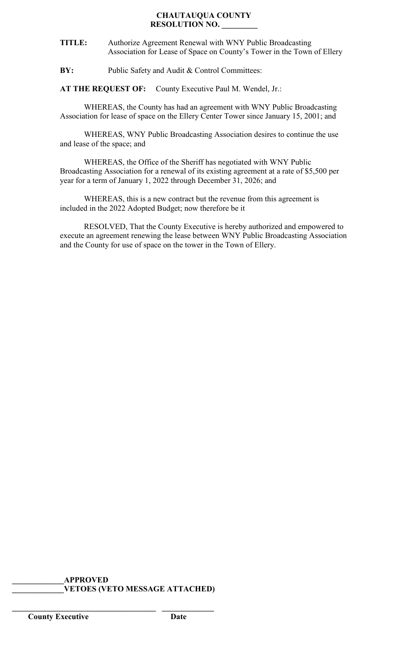#### **CHAUTAUQUA COUNTY RESOLUTION NO. \_\_\_\_\_\_\_\_\_**

- **TITLE:** Authorize Agreement Renewal with WNY Public Broadcasting Association for Lease of Space on County's Tower in the Town of Ellery
- **BY:** Public Safety and Audit & Control Committees:

**AT THE REQUEST OF:** County Executive Paul M. Wendel, Jr.:

WHEREAS, the County has had an agreement with WNY Public Broadcasting Association for lease of space on the Ellery Center Tower since January 15, 2001; and

WHEREAS, WNY Public Broadcasting Association desires to continue the use and lease of the space; and

WHEREAS, the Office of the Sheriff has negotiated with WNY Public Broadcasting Association for a renewal of its existing agreement at a rate of \$5,500 per year for a term of January 1, 2022 through December 31, 2026; and

WHEREAS, this is a new contract but the revenue from this agreement is included in the 2022 Adopted Budget; now therefore be it

RESOLVED, That the County Executive is hereby authorized and empowered to execute an agreement renewing the lease between WNY Public Broadcasting Association and the County for use of space on the tower in the Town of Ellery.

**\_\_\_\_\_\_\_\_\_\_\_\_\_APPROVED \_\_\_\_\_\_\_\_\_\_\_\_\_VETOES (VETO MESSAGE ATTACHED)**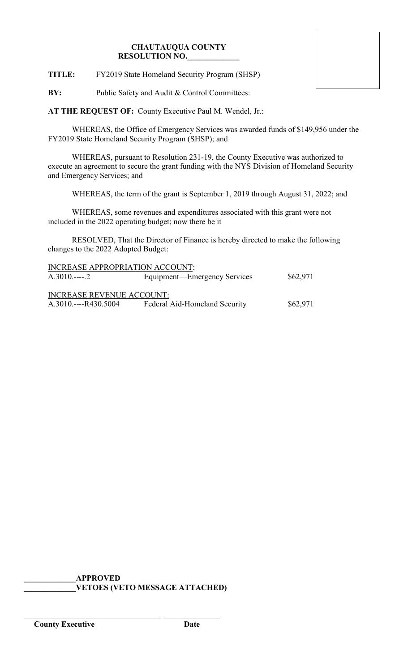## **CHAUTAUQUA COUNTY RESOLUTION NO.\_\_\_\_\_\_\_\_\_\_\_\_\_**

**TITLE:** FY2019 State Homeland Security Program (SHSP)

**BY:** Public Safety and Audit & Control Committees:

**AT THE REQUEST OF:** County Executive Paul M. Wendel, Jr.:

WHEREAS, the Office of Emergency Services was awarded funds of \$149,956 under the FY2019 State Homeland Security Program (SHSP); and

WHEREAS, pursuant to Resolution 231-19, the County Executive was authorized to execute an agreement to secure the grant funding with the NYS Division of Homeland Security and Emergency Services; and

WHEREAS, the term of the grant is September 1, 2019 through August 31, 2022; and

WHEREAS, some revenues and expenditures associated with this grant were not included in the 2022 operating budget; now there be it

RESOLVED, That the Director of Finance is hereby directed to make the following changes to the 2022 Adopted Budget:

| INCREASE APPROPRIATION ACCOUNT:  |                               |          |
|----------------------------------|-------------------------------|----------|
| $A.3010$ 2                       | Equipment—Emergency Services  | \$62,971 |
|                                  |                               |          |
| <b>INCREASE REVENUE ACCOUNT:</b> |                               |          |
| $A.3010---R430.5004$             | Federal Aid-Homeland Security | \$62,971 |

**\_\_\_\_\_\_\_\_\_\_\_\_\_APPROVED \_\_\_\_\_\_\_\_\_\_\_\_\_VETOES (VETO MESSAGE ATTACHED)**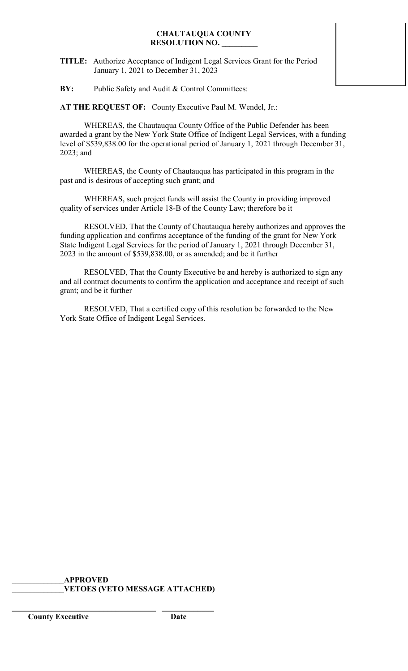### **CHAUTAUQUA COUNTY RESOLUTION NO. \_\_\_\_\_\_\_\_\_**

- **TITLE:** Authorize Acceptance of Indigent Legal Services Grant for the Period January 1, 2021 to December 31, 2023
- **BY:** Public Safety and Audit & Control Committees:

**AT THE REQUEST OF:** County Executive Paul M. Wendel, Jr.:

WHEREAS, the Chautauqua County Office of the Public Defender has been awarded a grant by the New York State Office of Indigent Legal Services, with a funding level of \$539,838.00 for the operational period of January 1, 2021 through December 31, 2023; and

WHEREAS, the County of Chautauqua has participated in this program in the past and is desirous of accepting such grant; and

WHEREAS, such project funds will assist the County in providing improved quality of services under Article 18-B of the County Law; therefore be it

RESOLVED, That the County of Chautauqua hereby authorizes and approves the funding application and confirms acceptance of the funding of the grant for New York State Indigent Legal Services for the period of January 1, 2021 through December 31, 2023 in the amount of \$539,838.00, or as amended; and be it further

RESOLVED, That the County Executive be and hereby is authorized to sign any and all contract documents to confirm the application and acceptance and receipt of such grant; and be it further

RESOLVED, That a certified copy of this resolution be forwarded to the New York State Office of Indigent Legal Services.

**\_\_\_\_\_\_\_\_\_\_\_\_\_APPROVED \_\_\_\_\_\_\_\_\_\_\_\_\_VETOES (VETO MESSAGE ATTACHED)**